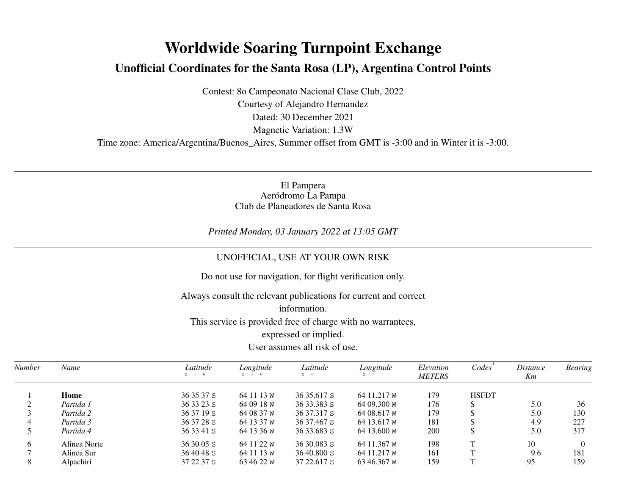## **Worldwide Soaring Turnpoint ExchangeUnofficial Coordinates for the Santa Rosa (LP), Argentina Control Points**

Contest: 8o Campeonato Nacional Clase Club, 2022Courtesy of Alejandro HernandezDated: 30 December 2021Magnetic Variation: 1.3W

Time zone: America/Argentina/Buenos\_Aires, Summer offset from GMT is -3:00 and in Winter it is -3:00.

El PamperaAeródromo La Pampa Club de Planeadores de Santa Rosa

*Printed Monday, 03 January 2022 at 13:05 GMT*

## UNOFFICIAL, USE AT YOUR OWN RISK

Do not use for navigation, for flight verification only.

Always consult the relevant publications for current and correct

information.

This service is provided free of charge with no warrantees,

expressed or implied.

## User assumes all risk of use.

| Number | Name         | Latitude<br>$\circ$ $\cdot$ $\cdot$ | Longitude<br>$\circ$<br>$^{\prime}$ | Latitude<br>$\circ$ $\cdot$ | Longitude<br>$\circ$ | Elevation<br><b>METERS</b> | Codes        | <i>Distance</i><br>Km | <b>Bearing</b> |
|--------|--------------|-------------------------------------|-------------------------------------|-----------------------------|----------------------|----------------------------|--------------|-----------------------|----------------|
|        | Home         | 36 35 37 S                          | 64 11 13 W                          | 36 35.617 S                 | 64 11.217 W          | 179                        | <b>HSFDT</b> |                       |                |
|        | Partida 1    | 36 33 23 S                          | 64 09 18 W                          | 36 33.383 S                 | 64 09.300 W          | 176                        |              | 5.0                   | 36             |
|        | Partida 2    | 36 37 19 S                          | 64 08 37 W                          | 36 37.317 S                 | 64 08.617 W          | 179                        |              | 5.0                   | 130            |
|        | Partida 3    | 36 37 28 S                          | 64 13 37 W                          | 36 37.467 S                 | 64 13.617 W          | 181                        |              | 4.9                   | 227            |
|        | Partida 4    | 36 33 41 S                          | 64 13 36 W                          | 36 33.683 S                 | 64 13.600 W          | 200                        | S            | 5.0                   | 317            |
| 6      | Alinea Norte | $363005$ S                          | 64 11 22 W                          | $3630.083$ S                | 64 11.367 W          | 198                        |              | 10                    |                |
|        | Alinea Sur   | 36 40 48 S                          | 64 11 13 W                          | $36\,40.800$ S              | 64 11.217 W          | 161                        |              | 9.6                   | 181            |
| 8      | Alpachiri    | 37 22 37 S                          | 63 46 22 W                          | 37 22.617 S                 | 63 46.367 W          | 159                        |              | 95                    | 159            |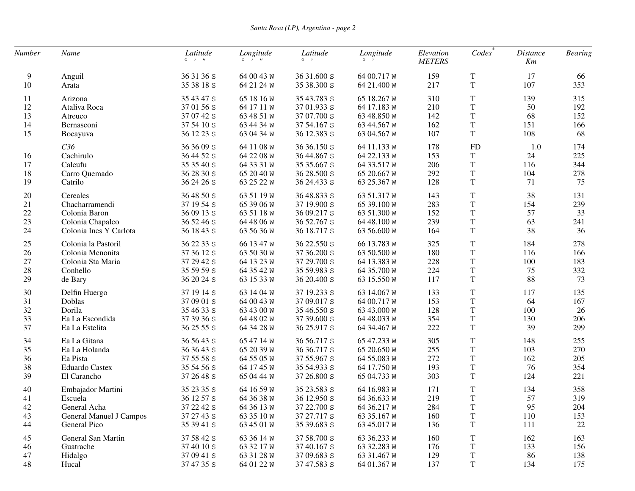| Number | Name                           | Latitude<br>$0 \rightarrow H$ | Longitude<br>$0 \rightarrow n$ | Latitude<br>$\circ \cdot$ | Longitude<br>$\circ$ $\cdot$ | Elevation<br><b>METERS</b> | Codes       | <b>Distance</b><br>Km | <b>Bearing</b> |
|--------|--------------------------------|-------------------------------|--------------------------------|---------------------------|------------------------------|----------------------------|-------------|-----------------------|----------------|
| 9      | Anguil                         | 36 31 36 S                    | 64 00 43 W                     | 36 31.600 S               | 64 00.717 W                  | 159                        | $\mathbf T$ | 17                    | 66             |
| 10     | Arata                          | 35 38 18 S                    | 64 21 24 W                     | 35 38.300 S               | 64 21.400 W                  | 217                        | $\mathbf T$ | 107                   | 353            |
| 11     | Arizona                        | 35 43 47 S                    | 65 18 16 W                     | 35 43.783 S               | 65 18.267 W                  | 310                        | $\mathbf T$ | 139                   | 315            |
| 12     | Ataliva Roca                   | 37 01 56 S                    | 64 17 11 W                     | 37 01.933 S               | 64 17.183 W                  | 210                        | $\mathbf T$ | 50                    | 192            |
| 13     | Atreuco                        | 37 07 42 S                    | 63 48 51 W                     | 37 07.700 S               | 63 48.850 W                  | 142                        | $\mathbf T$ | 68                    | 152            |
| 14     | Bernasconi                     | 37 54 10 S                    | 63 44 34 W                     | 37 54.167 S               | 63 44.567 W                  | 162                        | $\mathbf T$ | 151                   | 166            |
| 15     | Bocayuva                       | 36 12 23 S                    | 63 04 34 W                     | 36 12.383 S               | 63 04.567 W                  | 107                        | T           | 108                   | 68             |
|        | C <sub>36</sub>                | 36 36 09 S                    | 64 11 08 W                     | 36 36.150 S               | 64 11.133 W                  | 178                        | <b>FD</b>   | 1.0                   | 174            |
| 16     | Cachirulo                      | 36 44 52 S                    | 64 22 08 W                     | 36 44.867 S               | 64 22.133 W                  | 153                        | T           | 24                    | 225            |
| 17     | Caleufu                        | 35 35 40 S                    | 64 33 31 W                     | 35 35.667 S               | 64 33.517 W                  | 206                        | $\mathbf T$ | 116                   | 344            |
| 18     | Carro Quemado                  | 36 28 30 S                    | 65 20 40 W                     | 36 28.500 S               | 65 20.667 W                  | 292                        | $\mathbf T$ | 104                   | 278            |
| 19     | Catrilo                        | 36 24 26 S                    | 63 25 22 W                     | 36 24.433 S               | 63 25.367 W                  | 128                        | $\mathbf T$ | 71                    | 75             |
| 20     | Cereales                       | 36 48 50 S                    | 63 51 19 W                     | 36 48.833 S               | 63 51.317 W                  | 143                        | $\mathbf T$ | 38                    | 131            |
| 21     | Chacharramendi                 | 37 19 54 S                    | 65 39 06 W                     | 37 19.900 S               | 65 39.100 W                  | 283                        | $\mathbf T$ | 154                   | 239            |
| $22\,$ | Colonia Baron                  | 36 09 13 S                    | 63 51 18 W                     | 36 09.217 S               | 63 51.300 W                  | 152                        | T           | 57                    | 33             |
| 23     | Colonia Chapalco               | 36 52 46 S                    | 64 48 06 W                     | 36 52.767 S               | 64 48.100 W                  | 239                        | $\mathbf T$ | 63                    | 241            |
| 24     | Colonia Ines Y Carlota         | 36 18 43 S                    | 63 56 36 W                     | 36 18.717 S               | 63 56.600 W                  | 164                        | $\mathbf T$ | 38                    | 36             |
| $25\,$ | Colonia la Pastoril            | 36 22 33 S                    | 66 13 47 W                     | 36 22.550 S               | 66 13.783 W                  | 325                        | T           | 184                   | 278            |
| 26     | Colonia Menonita               | 37 36 12 S                    | 63 50 30 W                     | 37 36.200 S               | 63 50.500 W                  | 180                        | $\mathbf T$ | 116                   | 166            |
| 27     | Colonia Sta Maria              | 37 29 42 S                    | 64 13 23 W                     | 37 29.700 S               | 64 13.383 W                  | 228                        | $\mathbf T$ | 100                   | 183            |
| $28\,$ | Conhello                       | 35 59 59 S                    | 64 35 42 W                     | 35 59.983 S               | 64 35.700 W                  | 224                        | $\mathbf T$ | 75                    | 332            |
| 29     | de Bary                        | 36 20 24 s                    | 63 15 33 W                     | 36 20.400 S               | 63 15.550 W                  | 117                        | $\mathbf T$ | 88                    | 73             |
| $30\,$ | Delfin Huergo                  | 37 19 14 S                    | 63 14 04 W                     | 37 19.233 S               | 63 14.067 W                  | 133                        | T           | 117                   | 135            |
| 31     | Doblas                         | 37 09 01 S                    | 64 00 43 W                     | 37 09.017 S               | 64 00.717 W                  | 153                        | $\mathbf T$ | 64                    | 167            |
| 32     | Dorila                         | 35 46 33 S                    | 63 43 00 W                     | 35 46.550 S               | 63 43.000 W                  | 128                        | $\mathbf T$ | 100                   | 26             |
| 33     | Ea La Escondida                | 37 39 36 S                    | 64 48 02 W                     | 37 39.600 S               | 64 48.033 W                  | 354                        | $\mathbf T$ | 130                   | 206            |
| 37     | Ea La Estelita                 | 36 25 55 S                    | 64 34 28 W                     | 36 25.917 S               | 64 34.467 W                  | 222                        | $\mathbf T$ | 39                    | 299            |
| 34     | Ea La Gitana                   | 36 56 43 S                    | 65 47 14 W                     | 36 56.717 S               | 65 47.233 W                  | 305                        | $\mathbf T$ | 148                   | 255            |
| 35     | Ea La Holanda                  | 36 36 43 S                    | 65 20 39 W                     | 36 36.717 S               | 65 20.650 W                  | 255                        | $\mathbf T$ | 103                   | 270            |
| 36     | Ea Pista                       | 37 55 58 S                    | 64 55 05 W                     | 37 55.967 S               | 64 55.083 W                  | 272                        | $\mathbf T$ | 162                   | 205            |
| 38     | <b>Eduardo Castex</b>          | 35 54 56 S                    | 64 17 45 W                     | 35 54.933 S               | 64 17.750 W                  | 193                        | $\mathbf T$ | 76                    | 354            |
| 39     | El Carancho                    | 37 26 48 S                    | 65 04 44 W                     | 37 26.800 S               | 65 04.733 W                  | 303                        | $\mathbf T$ | 124                   | 221            |
| 40     | Embajador Martini              | 35 23 35 S                    | 64 16 59 W                     | 35 23.583 S               | 64 16.983 W                  | 171                        | $\mathbf T$ | 134                   | 358            |
| 41     | Escuela                        | 36 12 57 S                    | 64 36 38 W                     | 36 12.950 S               | 64 36.633 W                  | 219                        | T           | 57                    | 319            |
| 42     | General Acha                   | 37 22 42 S                    | 64 36 13 W                     | 37 22.700 S               | 64 36.217 W                  | 284                        | T           | 95                    | 204            |
| 43     | <b>General Manuel J Campos</b> | 37 27 43 S                    | 63 35 10 W                     | 37 27.717 S               | 63 35.167 W                  | 160                        | T           | 110                   | 153            |
| 44     | General Pico                   | 35 39 41 S                    | 63 45 01 W                     | 35 39.683 S               | 63 45.017 W                  | 136                        | $\mathbf T$ | 111                   | 22             |
| 45     | General San Martin             | 37 58 42 S                    | 63 36 14 W                     | 37 58.700 S               | 63 36.233 W                  | 160                        | $\mathbf T$ | 162                   | 163            |
| 46     | Guatrache                      | 37 40 10 S                    | 63 32 17 W                     | 37 40.167 S               | 63 32.283 W                  | 176                        | $\mathbf T$ | 133                   | 156            |
| 47     | Hidalgo                        | 37 09 41 S                    | 63 31 28 W                     | 37 09.683 S               | 63 31.467 W                  | 129                        | T           | 86                    | 138            |
| 48     | Hucal                          | 37 47 35 S                    | 64 01 22 W                     | 37 47.583 S               | 64 01.367 W                  | 137                        | $\mathbf T$ | 134                   | 175            |
|        |                                |                               |                                |                           |                              |                            |             |                       |                |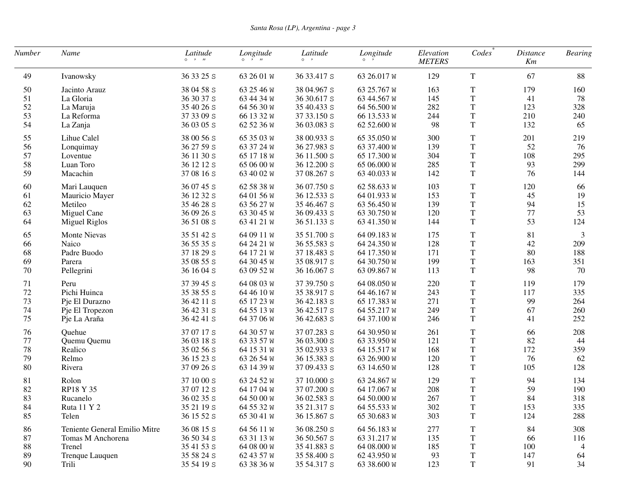| Number | Name                          | Latitude<br>$\circ \quad \cdot \quad n$ | Longitude<br>$0 \rightarrow H$ | Latitude<br>$\circ \quad$ , | Longitude<br>$\circ$ $\cdot$ | Elevation<br><b>METERS</b> | Codes       | <b>Distance</b><br>Km | <b>Bearing</b> |
|--------|-------------------------------|-----------------------------------------|--------------------------------|-----------------------------|------------------------------|----------------------------|-------------|-----------------------|----------------|
| 49     | Ivanowsky                     | 36 33 25 S                              | 63 26 01 W                     | 36 33.417 S                 | 63 26.017 W                  | 129                        | $\rm T$     | 67                    | 88             |
| 50     | Jacinto Arauz                 | 38 04 58 S                              | 63 25 46 W                     | 38 04.967 S                 | 63 25.767 W                  | 163                        | $\mathbf T$ | 179                   | 160            |
| 51     | La Gloria                     | 36 30 37 S                              | 63 44 34 W                     | 36 30.617 S                 | 63 44.567 W                  | 145                        | $\mathbf T$ | 41                    | 78             |
| 52     | La Maruja                     | 35 40 26 s                              | 64 56 30 W                     | 35 40.433 S                 | 64 56.500 W                  | 282                        | $\mathbf T$ | 123                   | 328            |
| 53     | La Reforma                    | 37 33 09 S                              | 66 13 32 W                     | 37 33.150 S                 | 66 13.533 W                  | 244                        | $\rm T$     | 210                   | 240            |
| 54     | La Zanja                      | 36 03 05 S                              | 62 52 36 W                     | 36 03.083 S                 | 62 52.600 W                  | 98                         | $\mathbf T$ | 132                   | 65             |
| 55     | Lihue Calel                   | 38 00 56 S                              | 65 35 03 W                     | 38 00.933 S                 | 65 35.050 W                  | 300                        | $\mathbf T$ | 201                   | 219            |
| 56     | Lonquimay                     | 36 27 59 S                              | 63 37 24 W                     | 36 27.983 S                 | 63 37.400 W                  | 139                        | $\mathbf T$ | 52                    | 76             |
| 57     | Loventue                      | 36 11 30 S                              | 65 17 18 W                     | 36 11.500 S                 | 65 17.300 W                  | 304                        | $\rm T$     | 108                   | 295            |
| 58     | Luan Toro                     | 36 12 12 S                              | 65 06 00 W                     | 36 12.200 S                 | 65 06.000 W                  | 285                        | $\mathbf T$ | 93                    | 299            |
| 59     | Macachin                      | 37 08 16 S                              | 63 40 02 W                     | 37 08.267 S                 | 63 40.033 W                  | 142                        | $\mathbf T$ | 76                    | 144            |
| 60     | Mari Lauquen                  | 36 07 45 S                              | 62 58 38 W                     | 36 07.750 S                 | 62 58.633 W                  | 103                        | T           | 120                   | 66             |
| 61     | Mauricio Mayer                | 36 12 32 S                              | 64 01 56 W                     | 36 12.533 S                 | 64 01.933 W                  | 153                        | $\rm T$     | 45                    | 19             |
| 62     | Metileo                       | 35 46 28 S                              | 63 56 27 W                     | 35 46.467 S                 | 63 56.450 W                  | 139                        | $\mathbf T$ | 94                    | 15             |
| 63     | Miguel Cane                   | 36 09 26 S                              | 63 30 45 W                     | 36 09.433 S                 | 63 30.750 W                  | 120                        | $\mathbf T$ | $77 \,$               | 53             |
| 64     | Miguel Riglos                 | 36 51 08 S                              | 63 41 21 W                     | 36 51.133 S                 | 63 41.350 W                  | 144                        | $\mathbf T$ | 53                    | 124            |
| 65     | <b>Monte Nievas</b>           | 35 51 42 S                              | 64 09 11 W                     | 35 51.700 S                 | 64 09.183 W                  | 175                        | $\mathbf T$ | 81                    | 3              |
| 66     | Naico                         | 36 55 35 S                              | 64 24 21 W                     | 36 55.583 S                 | 64 24.350 W                  | 128                        | $\rm T$     | 42                    | 209            |
| 68     | Padre Buodo                   | 37 18 29 S                              | 64 17 21 W                     | 37 18.483 S                 | 64 17.350 W                  | 171                        | $\rm T$     | 80                    | 188            |
| 69     | Parera                        | 35 08 55 S                              | 64 30 45 W                     | 35 08.917 S                 | 64 30.750 W                  | 199                        | $\rm T$     | 163                   | 351            |
| 70     | Pellegrini                    | 36 16 04 S                              | 63 09 52 W                     | 36 16.067 S                 | 63 09.867 W                  | 113                        | $\rm T$     | 98                    | 70             |
| 71     | Peru                          | 37 39 45 S                              | 64 08 03 W                     | 37 39.750 S                 | 64 08.050 W                  | 220                        | T           | 119                   | 179            |
| 72     | Pichi Huinca                  | 35 38 55 S                              | 64 46 10 W                     | 35 38.917 S                 | 64 46.167 W                  | 243                        | $\rm T$     | 117                   | 335            |
| 73     | Pje El Durazno                | 36 42 11 S                              | 65 17 23 W                     | 36 42.183 S                 | 65 17.383 W                  | 271                        | $\rm T$     | 99                    | 264            |
| 74     | Pje El Tropezon               | 36 42 31 S                              | 64 55 13 W                     | 36 42.517 S                 | 64 55.217 W                  | 249                        | $\mathbf T$ | 67                    | 260            |
| 75     | Pje La Araña                  | 36 42 41 S                              | 64 37 06 W                     | 36 42.683 S                 | 64 37.100 W                  | 246                        | $\mathbf T$ | 41                    | 252            |
| 76     | Quehue                        | 37 07 17 S                              | 64 30 57 W                     | 37 07.283 S                 | 64 30.950 W                  | 261                        | $\rm T$     | 66                    | 208            |
| 77     | Quemu Quemu                   | 36 03 18 S                              | 63 33 57 W                     | 36 03.300 S                 | 63 33.950 W                  | 121                        | $\rm T$     | 82                    | 44             |
| 78     | Realico                       | 35 02 56 S                              | 64 15 31 W                     | 35 02.933 S                 | 64 15.517 W                  | 168                        | $\rm T$     | 172                   | 359            |
| 79     | Relmo                         | 36 15 23 S                              | 63 26 54 W                     | 36 15.383 S                 | 63 26.900 W                  | 120                        | $\mathbf T$ | 76                    | 62             |
| 80     | Rivera                        | 37 09 26 S                              | 63 14 39 W                     | 37 09.433 S                 | 63 14.650 W                  | 128                        | $\mathbf T$ | 105                   | 128            |
| 81     | Rolon                         | 37 10 00 S                              | 63 24 52 W                     | 37 10.000 S                 | 63 24.867 W                  | 129                        | $\mathbf T$ | 94                    | 134            |
| 82     | RP18 Y 35                     | 37 07 12 S                              | 64 17 04 W                     | 37 07.200 S                 | 64 17.067 W                  | 208                        | $\mathbf T$ | 59                    | 190            |
| 83     | Rucanelo                      | 36 02 35 S                              | 64 50 00 W                     | 36 02.583 S                 | 64 50.000 W                  | 267                        | $\mathbf T$ | 84                    | 318            |
| 84     | Ruta 11 Y 2                   | 35 21 19 s                              | $64$ 55 32 W                   | 35 21.317 S                 | $64\,55.533\,\mathrm{W}$     | 302                        | $\mathbf T$ | 153                   | 335            |
| 85     | Telen                         | 36 15 52 S                              | 65 30 41 W                     | 36 15.867 S                 | 65 30.683 W                  | 303                        | T           | 124                   | 288            |
| 86     | Teniente General Emilio Mitre | 36 08 15 S                              | 64 56 11 W                     | 36 08.250 S                 | 64 56.183 W                  | 277                        | T           | 84                    | 308            |
| $87\,$ | Tomas M Anchorena             | 36 50 34 S                              | 63 31 13 W                     | 36 50.567 S                 | 63 31.217 W                  | 135                        | T           | 66                    | 116            |
| 88     | Trenel                        | 35 41 53 S                              | 64 08 00 W                     | 35 41.883 S                 | 64 08.000 W                  | 185                        | T           | 100                   | 4              |
| 89     | Trenque Lauquen               | 35 58 24 S                              | 62 43 57 W                     | 35 58.400 S                 | 62 43.950 W                  | 93                         | T           | 147                   | 64             |
| 90     | Trili                         | 35 54 19 S                              | 63 38 36 W                     | 35 54.317 S                 | 63 38.600 W                  | 123                        | $\mathbf T$ | 91                    | 34             |
|        |                               |                                         |                                |                             |                              |                            |             |                       |                |